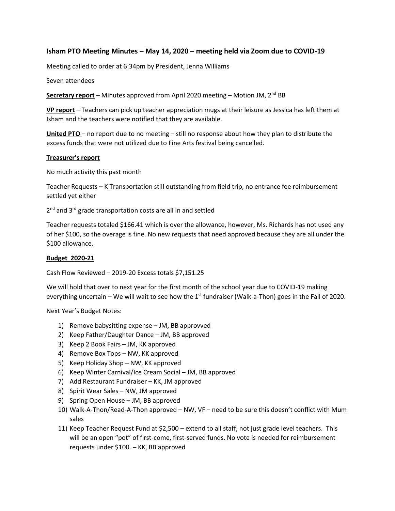# **Isham PTO Meeting Minutes – May 14, 2020 – meeting held via Zoom due to COVID-19**

Meeting called to order at 6:34pm by President, Jenna Williams

Seven attendees

**Secretary report** – Minutes approved from April 2020 meeting – Motion JM, 2<sup>nd</sup> BB

**VP report** – Teachers can pick up teacher appreciation mugs at their leisure as Jessica has left them at Isham and the teachers were notified that they are available.

**United PTO** – no report due to no meeting – still no response about how they plan to distribute the excess funds that were not utilized due to Fine Arts festival being cancelled.

#### **Treasurer's report**

No much activity this past month

Teacher Requests – K Transportation still outstanding from field trip, no entrance fee reimbursement settled yet either

2<sup>nd</sup> and 3<sup>rd</sup> grade transportation costs are all in and settled

Teacher requests totaled \$166.41 which is over the allowance, however, Ms. Richards has not used any of her \$100, so the overage is fine. No new requests that need approved because they are all under the \$100 allowance.

### **Budget 2020-21**

Cash Flow Reviewed – 2019-20 Excess totals \$7,151.25

We will hold that over to next year for the first month of the school year due to COVID-19 making everything uncertain – We will wait to see how the  $1<sup>st</sup>$  fundraiser (Walk-a-Thon) goes in the Fall of 2020.

Next Year's Budget Notes:

- 1) Remove babysitting expense JM, BB approvved
- 2) Keep Father/Daughter Dance JM, BB approved
- 3) Keep 2 Book Fairs JM, KK approved
- 4) Remove Box Tops NW, KK approved
- 5) Keep Holiday Shop NW, KK approved
- 6) Keep Winter Carnival/Ice Cream Social JM, BB approved
- 7) Add Restaurant Fundraiser KK, JM approved
- 8) Spirit Wear Sales NW, JM approved
- 9) Spring Open House JM, BB approved
- 10) Walk-A-Thon/Read-A-Thon approved NW, VF need to be sure this doesn't conflict with Mum sales
- 11) Keep Teacher Request Fund at \$2,500 extend to all staff, not just grade level teachers. This will be an open "pot" of first-come, first-served funds. No vote is needed for reimbursement requests under \$100. – KK, BB approved